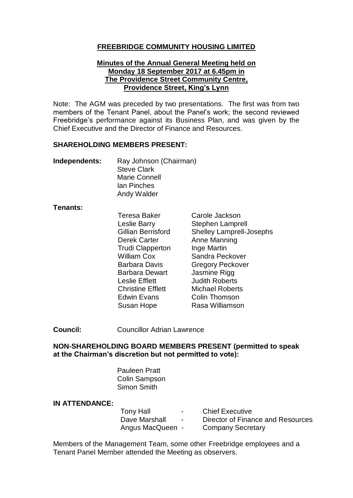### **FREEBRIDGE COMMUNITY HOUSING LIMITED**

#### **Minutes of the Annual General Meeting held on Monday 18 September 2017 at 6.45pm in The Providence Street Community Centre, Providence Street, King's Lynn**

Note: The AGM was preceded by two presentations. The first was from two members of the Tenant Panel, about the Panel's work; the second reviewed Freebridge's performance against its Business Plan, and was given by the Chief Executive and the Director of Finance and Resources.

#### **SHAREHOLDING MEMBERS PRESENT:**

| Independents: | Ray Johnson (Chairman) |
|---------------|------------------------|
|               | <b>Steve Clark</b>     |
|               | <b>Marie Connell</b>   |
|               | lan Pinches            |
|               | Andy Walder            |

#### **Tenants:**

Teresa Baker Carole Jackson Leslie Barry Stephen Lamprell Gillian Berrisford Shelley Lamprell-Josephs Derek Carter **Anne Manning** Trudi Clapperton Inge Martin William Cox Sandra Peckover Barbara Davis **Gregory Peckover** Barbara Dewart Jasmine Rigg Leslie Efflett **Judith Roberts** Christine Efflett Michael Roberts Edwin Evans Colin Thomson Susan Hope Rasa Williamson

**Council:** Councillor Adrian Lawrence

### **NON-SHAREHOLDING BOARD MEMBERS PRESENT (permitted to speak at the Chairman's discretion but not permitted to vote):**

Pauleen Pratt Colin Sampson Simon Smith

#### **IN ATTENDANCE:**

| <b>Tony Hall</b> | $\overline{\phantom{0}}$ | <b>Chief Executive</b>            |
|------------------|--------------------------|-----------------------------------|
| Dave Marshall    | $\overline{\phantom{0}}$ | Director of Finance and Resources |
| Angus MacQueen - |                          | <b>Company Secretary</b>          |

Members of the Management Team, some other Freebridge employees and a Tenant Panel Member attended the Meeting as observers.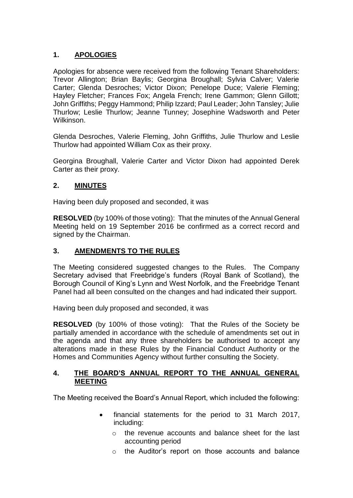# **1. APOLOGIES**

Apologies for absence were received from the following Tenant Shareholders: Trevor Allington; Brian Baylis; Georgina Broughall; Sylvia Calver; Valerie Carter; Glenda Desroches; Victor Dixon; Penelope Duce; Valerie Fleming; Hayley Fletcher; Frances Fox; Angela French; Irene Gammon; Glenn Gillott; John Griffiths; Peggy Hammond; Philip Izzard; Paul Leader; John Tansley; Julie Thurlow; Leslie Thurlow; Jeanne Tunney; Josephine Wadsworth and Peter Wilkinson.

Glenda Desroches, Valerie Fleming, John Griffiths, Julie Thurlow and Leslie Thurlow had appointed William Cox as their proxy.

Georgina Broughall, Valerie Carter and Victor Dixon had appointed Derek Carter as their proxy.

### **2. MINUTES**

Having been duly proposed and seconded, it was

**RESOLVED** (by 100% of those voting):That the minutes of the Annual General Meeting held on 19 September 2016 be confirmed as a correct record and signed by the Chairman.

### **3. AMENDMENTS TO THE RULES**

The Meeting considered suggested changes to the Rules. The Company Secretary advised that Freebridge's funders (Royal Bank of Scotland), the Borough Council of King's Lynn and West Norfolk, and the Freebridge Tenant Panel had all been consulted on the changes and had indicated their support.

Having been duly proposed and seconded, it was

**RESOLVED** (by 100% of those voting): That the Rules of the Society be partially amended in accordance with the schedule of amendments set out in the agenda and that any three shareholders be authorised to accept any alterations made in these Rules by the Financial Conduct Authority or the Homes and Communities Agency without further consulting the Society.

#### **4. THE BOARD'S ANNUAL REPORT TO THE ANNUAL GENERAL MEETING**

The Meeting received the Board's Annual Report, which included the following:

- financial statements for the period to 31 March 2017, including:
	- o the revenue accounts and balance sheet for the last accounting period
	- o the Auditor's report on those accounts and balance